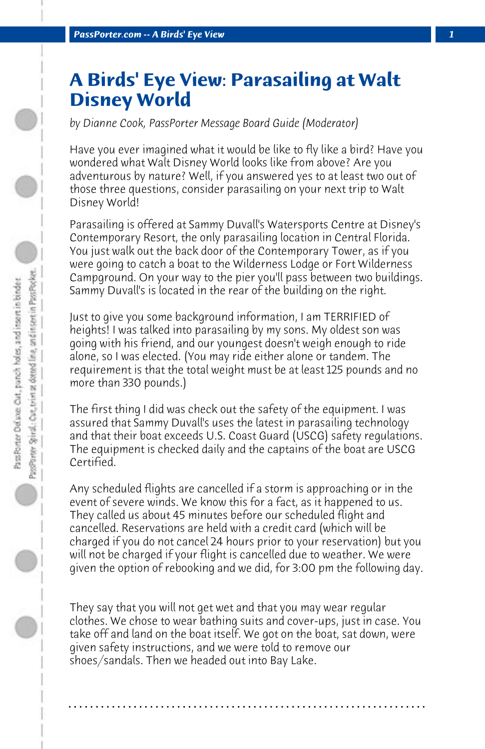## **A Birds' Eye View: Parasailing at Walt Disney World**

*by Dianne Cook, PassPorter Message Board Guide (Moderator)*

Have you ever imagined what it would be like to fly like a bird? Have you wondered what Walt Disney World looks like from above? Are you adventurous by nature? Well, if you answered yes to at least two out of those three questions, consider parasailing on your next trip to Walt Disney World!

Parasailing is offered at Sammy Duvall's Watersports Centre at Disney's Contemporary Resort, the only parasailing location in Central Florida. You just walk out the back door of the Contemporary Tower, as if you were going to catch a boat to the Wilderness Lodge or Fort Wilderness Campground. On your way to the pier you'll pass between two buildings. Sammy Duvall's is located in the rear of the building on the right.

Just to give you some background information, I am TERRIFIED of heights! I was talked into parasailing by my sons. My oldest son was going with his friend, and our youngest doesn't weigh enough to ride alone, so I was elected. (You may ride either alone or tandem. The requirement is that the total weight must be at least 125 pounds and no more than 330 pounds.)

The first thing I did was check out the safety of the equipment. I was assured that Sammy Duvall's uses the latest in parasailing technology and that their boat exceeds U.S. Coast Guard (USCG) safety regulations. The equipment is checked daily and the captains of the boat are USCG Certified.

Any scheduled flights are cancelled if a storm is approaching or in the event of severe winds. We know this for a fact, as it happened to us. They called us about 45 minutes before our scheduled flight and cancelled. Reservations are held with a credit card (which will be charged if you do not cancel 24 hours prior to your reservation) but you will not be charged if your flight is cancelled due to weather. We were given the option of rebooking and we did, for 3:00 pm the following day.

They say that you will not get wet and that you may wear regular clothes. We chose to wear bathing suits and cover-ups, just in case. You take off and land on the boat itself. We got on the boat, sat down, were given safety instructions, and we were told to remove our shoes/sandals. Then we headed out into Bay Lake.

**. . . . . . . . . . . . . . . . . . . . . . . . . . . . . . . . . . . . . . . . . . . . . . . . . . . . . . . . . . . . . . . . . .**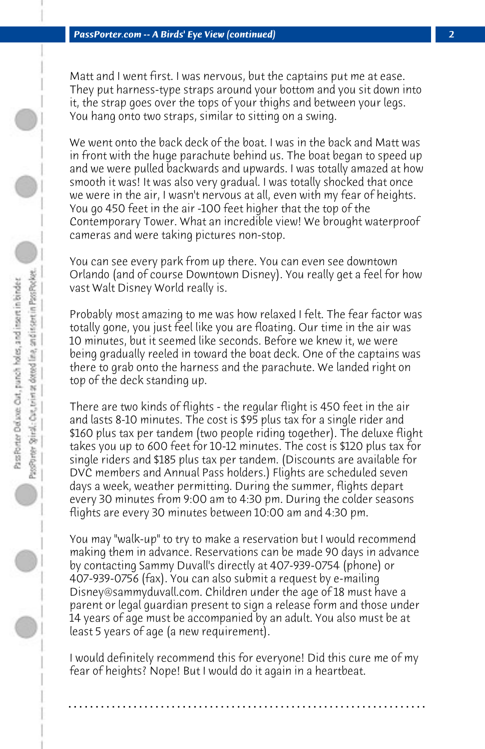Matt and I went first. I was nervous, but the captains put me at ease. They put harness-type straps around your bottom and you sit down into it, the strap goes over the tops of your thighs and between your legs. You hang onto two straps, similar to sitting on a swing.

We went onto the back deck of the boat. I was in the back and Matt was in front with the huge parachute behind us. The boat began to speed up and we were pulled backwards and upwards. I was totally amazed at how smooth it was! It was also very gradual. I was totally shocked that once we were in the air, I wasn't nervous at all, even with my fear of heights. You go 450 feet in the air -100 feet higher that the top of the Contemporary Tower. What an incredible view! We brought waterproof cameras and were taking pictures non-stop.

You can see every park from up there. You can even see downtown Orlando (and of course Downtown Disney). You really get a feel for how vast Walt Disney World really is.

Probably most amazing to me was how relaxed I felt. The fear factor was totally gone, you just feel like you are floating. Our time in the air was 10 minutes, but it seemed like seconds. Before we knew it, we were being gradually reeled in toward the boat deck. One of the captains was there to grab onto the harness and the parachute. We landed right on top of the deck standing up.

There are two kinds of flights - the regular flight is 450 feet in the air and lasts 8-10 minutes. The cost is \$95 plus tax for a single rider and \$160 plus tax per tandem (two people riding together). The deluxe flight takes you up to 600 feet for 10-12 minutes. The cost is \$120 plus tax for single riders and \$185 plus tax per tandem. (Discounts are available for DVC members and Annual Pass holders.) Flights are scheduled seven days a week, weather permitting. During the summer, flights depart every 30 minutes from 9:00 am to 4:30 pm. During the colder seasons flights are every 30 minutes between 10:00 am and 4:30 pm.

You may "walk-up" to try to make a reservation but I would recommend making them in advance. Reservations can be made 90 days in advance by contacting Sammy Duvall's directly at 407-939-0754 (phone) or 407-939-0756 (fax). You can also submit a request by e-mailing Disney@sammyduvall.com. Children under the age of 18 must have a parent or legal guardian present to sign a release form and those under 14 years of age must be accompanied by an adult. You also must be at least 5 years of age (a new requirement).

I would definitely recommend this for everyone! Did this cure me of my fear of heights? Nope! But I would do it again in a heartbeat.

**. . . . . . . . . . . . . . . . . . . . . . . . . . . . . . . . . . . . . . . . . . . . . . . . . . . . . . . . . . . . . . . . . .**